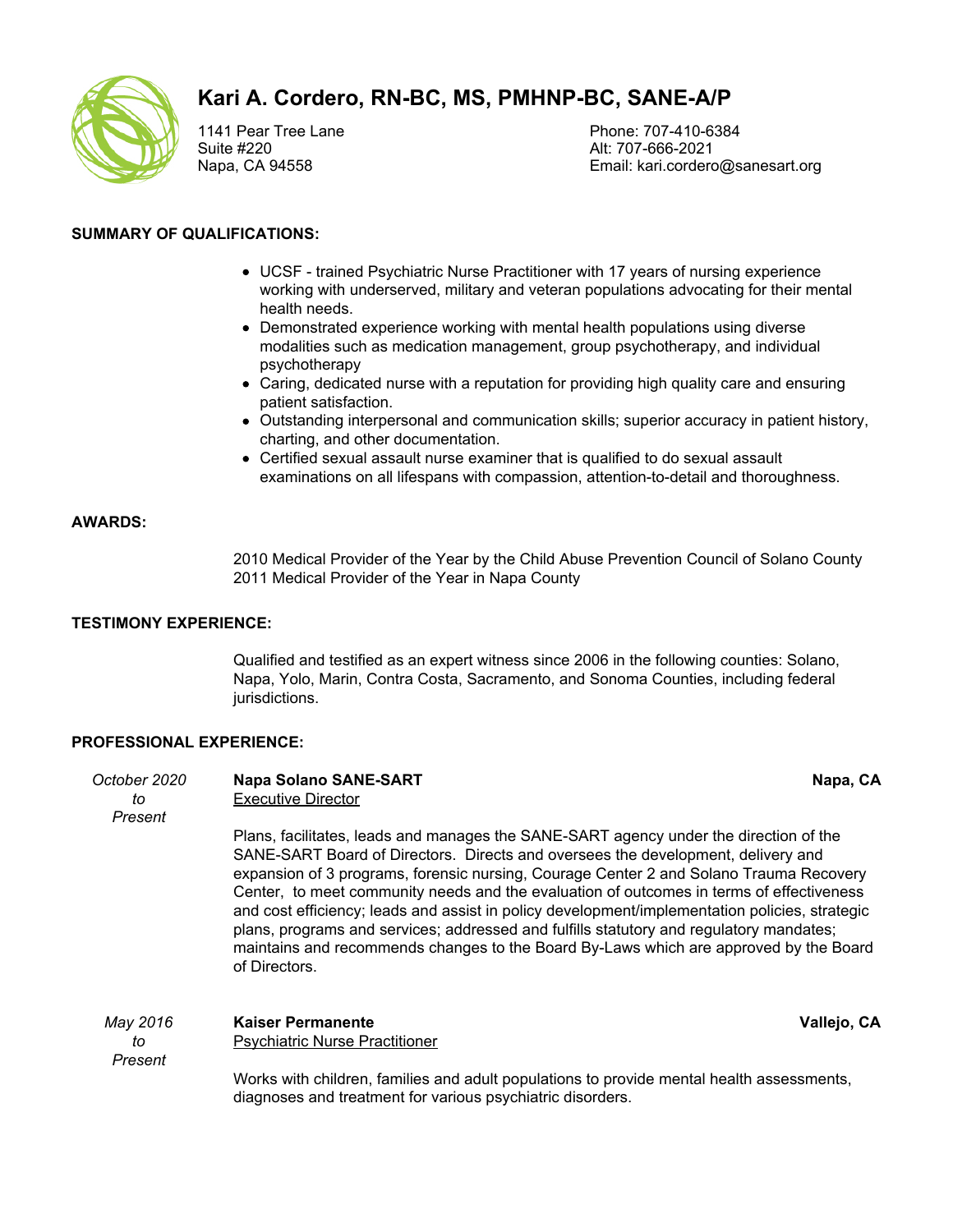

# **Kari A. Cordero, RN-BC, MS, PMHNP-BC, SANE-A/P**

1141 Pear Tree Lane Suite #220 Napa, CA 94558

Phone: 707-410-6384 Alt: 707-666-2021 Email: kari.cordero@sanesart.org

## **SUMMARY OF QUALIFICATIONS:**

- UCSF trained Psychiatric Nurse Practitioner with 17 years of nursing experience working with underserved, military and veteran populations advocating for their mental health needs.
- Demonstrated experience working with mental health populations using diverse modalities such as medication management, group psychotherapy, and individual psychotherapy
- Caring, dedicated nurse with a reputation for providing high quality care and ensuring patient satisfaction.
- Outstanding interpersonal and communication skills; superior accuracy in patient history, charting, and other documentation.
- Certified sexual assault nurse examiner that is qualified to do sexual assault examinations on all lifespans with compassion, attention-to-detail and thoroughness.

# **AWARDS:**

2010 Medical Provider of the Year by the Child Abuse Prevention Council of Solano County 2011 Medical Provider of the Year in Napa County

## **TESTIMONY EXPERIENCE:**

Qualified and testified as an expert witness since 2006 in the following counties: Solano, Napa, Yolo, Marin, Contra Costa, Sacramento, and Sonoma Counties, including federal jurisdictions.

## **PROFESSIONAL EXPERIENCE:**

| October 2020<br>to<br>Present | <b>Napa Solano SANE-SART</b><br>Executive Director                                                                                                                                                                                                                                                                                                                                                                                                                                                                                                                                                                                                                     | Napa, CA    |
|-------------------------------|------------------------------------------------------------------------------------------------------------------------------------------------------------------------------------------------------------------------------------------------------------------------------------------------------------------------------------------------------------------------------------------------------------------------------------------------------------------------------------------------------------------------------------------------------------------------------------------------------------------------------------------------------------------------|-------------|
|                               | Plans, facilitates, leads and manages the SANE-SART agency under the direction of the<br>SANE-SART Board of Directors. Directs and oversees the development, delivery and<br>expansion of 3 programs, forensic nursing, Courage Center 2 and Solano Trauma Recovery<br>Center, to meet community needs and the evaluation of outcomes in terms of effectiveness<br>and cost efficiency; leads and assist in policy development/implementation policies, strategic<br>plans, programs and services; addressed and fulfills statutory and regulatory mandates;<br>maintains and recommends changes to the Board By-Laws which are approved by the Board<br>of Directors. |             |
| May 2016<br>to<br>Present     | <b>Kaiser Permanente</b><br><b>Psychiatric Nurse Practitioner</b>                                                                                                                                                                                                                                                                                                                                                                                                                                                                                                                                                                                                      | Vallejo, CA |
|                               | Works with children, families and adult populations to provide mental health assessments,<br>diagnoses and treatment for various psychiatric disorders.                                                                                                                                                                                                                                                                                                                                                                                                                                                                                                                |             |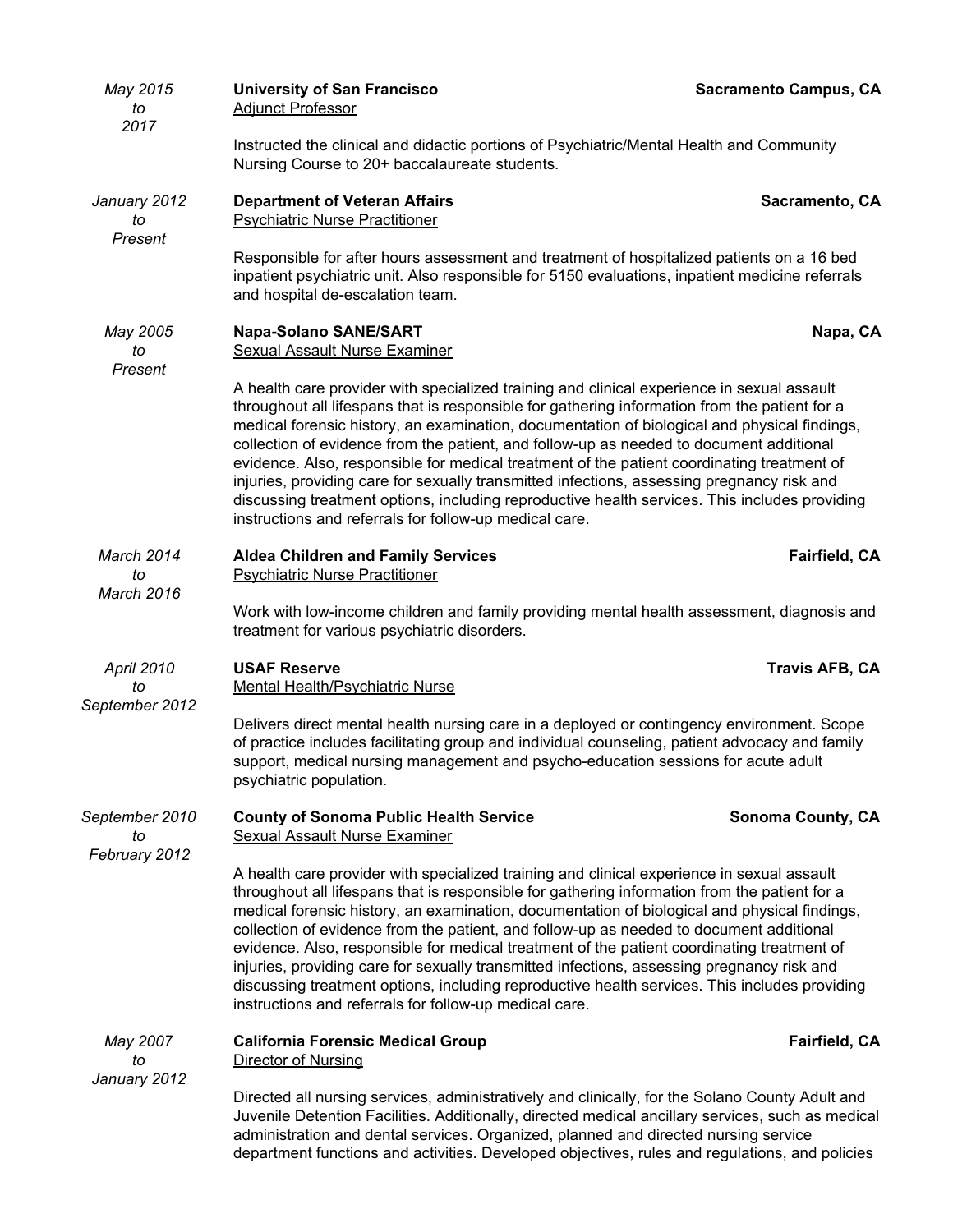| May 2015<br>to<br>2017                | <b>University of San Francisco</b><br><b>Adjunct Professor</b>                                                                                                                                                                                                                                                                                                                                                                                                                                                                                                                                                                                                                                                                                | <b>Sacramento Campus, CA</b> |  |
|---------------------------------------|-----------------------------------------------------------------------------------------------------------------------------------------------------------------------------------------------------------------------------------------------------------------------------------------------------------------------------------------------------------------------------------------------------------------------------------------------------------------------------------------------------------------------------------------------------------------------------------------------------------------------------------------------------------------------------------------------------------------------------------------------|------------------------------|--|
|                                       | Instructed the clinical and didactic portions of Psychiatric/Mental Health and Community<br>Nursing Course to 20+ baccalaureate students.                                                                                                                                                                                                                                                                                                                                                                                                                                                                                                                                                                                                     |                              |  |
| January 2012<br>to<br>Present         | <b>Department of Veteran Affairs</b><br><b>Psychiatric Nurse Practitioner</b>                                                                                                                                                                                                                                                                                                                                                                                                                                                                                                                                                                                                                                                                 | Sacramento, CA               |  |
|                                       | Responsible for after hours assessment and treatment of hospitalized patients on a 16 bed<br>inpatient psychiatric unit. Also responsible for 5150 evaluations, inpatient medicine referrals<br>and hospital de-escalation team.                                                                                                                                                                                                                                                                                                                                                                                                                                                                                                              |                              |  |
| May 2005<br>to<br>Present             | <b>Napa-Solano SANE/SART</b><br><b>Sexual Assault Nurse Examiner</b>                                                                                                                                                                                                                                                                                                                                                                                                                                                                                                                                                                                                                                                                          | Napa, CA                     |  |
|                                       | A health care provider with specialized training and clinical experience in sexual assault<br>throughout all lifespans that is responsible for gathering information from the patient for a<br>medical forensic history, an examination, documentation of biological and physical findings,<br>collection of evidence from the patient, and follow-up as needed to document additional<br>evidence. Also, responsible for medical treatment of the patient coordinating treatment of<br>injuries, providing care for sexually transmitted infections, assessing pregnancy risk and<br>discussing treatment options, including reproductive health services. This includes providing<br>instructions and referrals for follow-up medical care. |                              |  |
| March 2014<br>to                      | <b>Aldea Children and Family Services</b><br><b>Psychiatric Nurse Practitioner</b>                                                                                                                                                                                                                                                                                                                                                                                                                                                                                                                                                                                                                                                            | Fairfield, CA                |  |
| <b>March 2016</b>                     | Work with low-income children and family providing mental health assessment, diagnosis and<br>treatment for various psychiatric disorders.                                                                                                                                                                                                                                                                                                                                                                                                                                                                                                                                                                                                    |                              |  |
| April 2010<br>to<br>September 2012    | <b>USAF Reserve</b><br>Mental Health/Psychiatric Nurse                                                                                                                                                                                                                                                                                                                                                                                                                                                                                                                                                                                                                                                                                        | <b>Travis AFB, CA</b>        |  |
|                                       | Delivers direct mental health nursing care in a deployed or contingency environment. Scope<br>of practice includes facilitating group and individual counseling, patient advocacy and family<br>support, medical nursing management and psycho-education sessions for acute adult<br>psychiatric population.                                                                                                                                                                                                                                                                                                                                                                                                                                  |                              |  |
| September 2010<br>to<br>February 2012 | <b>County of Sonoma Public Health Service</b><br><b>Sexual Assault Nurse Examiner</b>                                                                                                                                                                                                                                                                                                                                                                                                                                                                                                                                                                                                                                                         | <b>Sonoma County, CA</b>     |  |
|                                       | A health care provider with specialized training and clinical experience in sexual assault<br>throughout all lifespans that is responsible for gathering information from the patient for a<br>medical forensic history, an examination, documentation of biological and physical findings,<br>collection of evidence from the patient, and follow-up as needed to document additional<br>evidence. Also, responsible for medical treatment of the patient coordinating treatment of<br>injuries, providing care for sexually transmitted infections, assessing pregnancy risk and<br>discussing treatment options, including reproductive health services. This includes providing<br>instructions and referrals for follow-up medical care. |                              |  |
| May 2007<br>to<br>January 2012        | <b>California Forensic Medical Group</b><br>Director of Nursing                                                                                                                                                                                                                                                                                                                                                                                                                                                                                                                                                                                                                                                                               | Fairfield, CA                |  |
|                                       | Directed all nursing services, administratively and clinically, for the Solano County Adult and<br>Juvenile Detention Facilities. Additionally, directed medical ancillary services, such as medical<br>administration and dental services. Organized, planned and directed nursing service<br>department functions and activities. Developed objectives, rules and regulations, and policies                                                                                                                                                                                                                                                                                                                                                 |                              |  |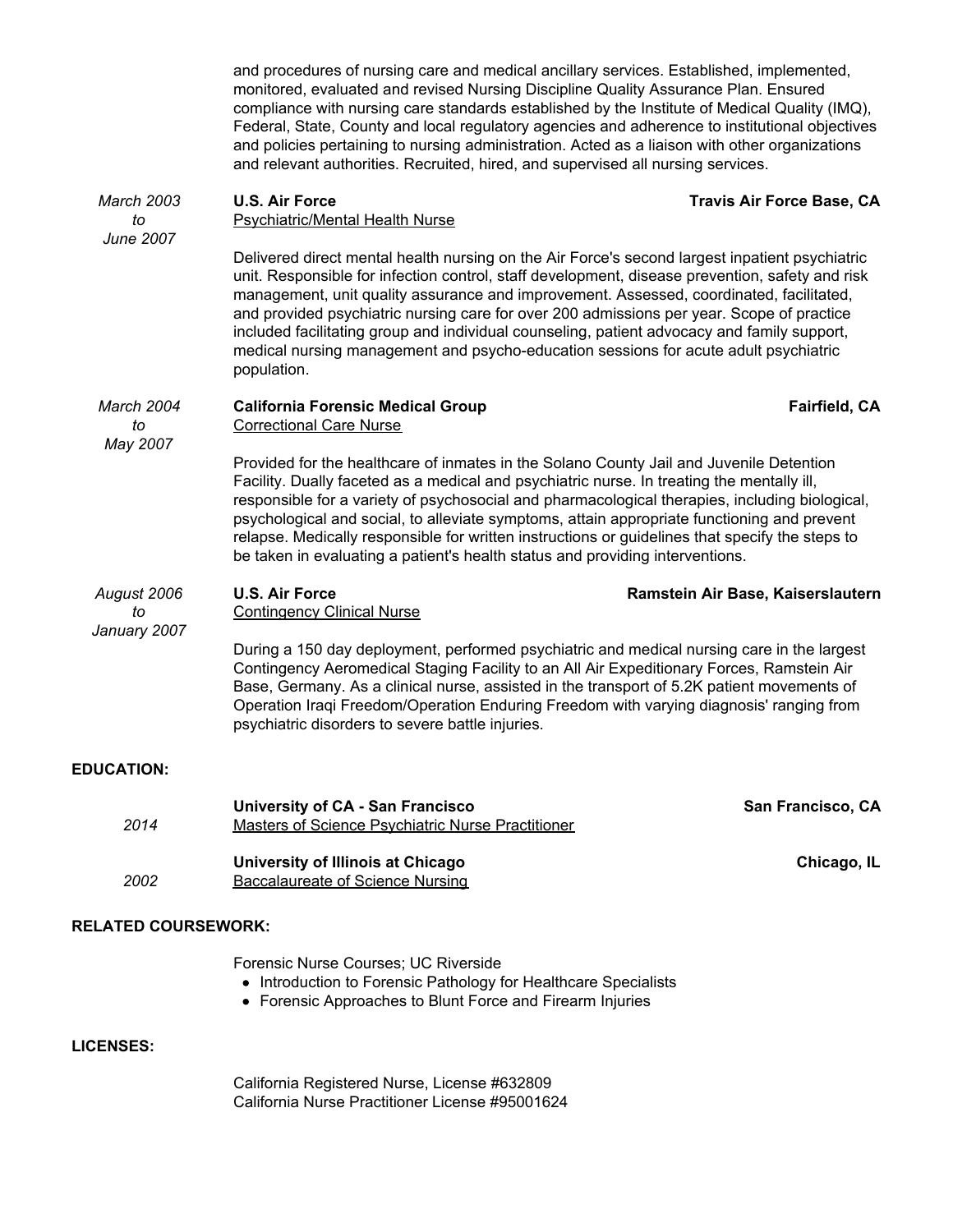*March 2003 to June 2007* **U.S. Air Force Travis Air Force Base, CA** *March 2004 to May 2007* **California Forensic Medical Group Fairfield, CA** *August 2006 to January 2007* **U.S. Air Force Ramstein Air Base, Kaiserslautern EDUCATION: University of CA - San Francisco San Francisco, CA** *2014* Masters of Science Psychiatric Nurse Practitioner **University of Illinois at Chicago <b>Chicago, IL Chicago, IL** *2002* Baccalaureate of Science Nursing **RELATED COURSEWORK:** Forensic Nurse Courses; UC Riverside • Introduction to Forensic Pathology for Healthcare Specialists Forensic Approaches to Blunt Force and Firearm Injuries and procedures of nursing care and medical ancillary services. Established, implemented, monitored, evaluated and revised Nursing Discipline Quality Assurance Plan. Ensured compliance with nursing care standards established by the Institute of Medical Quality (IMQ), Federal, State, County and local regulatory agencies and adherence to institutional objectives and policies pertaining to nursing administration. Acted as a liaison with other organizations and relevant authorities. Recruited, hired, and supervised all nursing services. Psychiatric/Mental Health Nurse Delivered direct mental health nursing on the Air Force's second largest inpatient psychiatric unit. Responsible for infection control, staff development, disease prevention, safety and risk management, unit quality assurance and improvement. Assessed, coordinated, facilitated, and provided psychiatric nursing care for over 200 admissions per year. Scope of practice included facilitating group and individual counseling, patient advocacy and family support, medical nursing management and psycho-education sessions for acute adult psychiatric population. Correctional Care Nurse Provided for the healthcare of inmates in the Solano County Jail and Juvenile Detention Facility. Dually faceted as a medical and psychiatric nurse. In treating the mentally ill, responsible for a variety of psychosocial and pharmacological therapies, including biological, psychological and social, to alleviate symptoms, attain appropriate functioning and prevent relapse. Medically responsible for written instructions or guidelines that specify the steps to be taken in evaluating a patient's health status and providing interventions. Contingency Clinical Nurse During a 150 day deployment, performed psychiatric and medical nursing care in the largest Contingency Aeromedical Staging Facility to an All Air Expeditionary Forces, Ramstein Air Base, Germany. As a clinical nurse, assisted in the transport of 5.2K patient movements of Operation Iraqi Freedom/Operation Enduring Freedom with varying diagnosis' ranging from psychiatric disorders to severe battle injuries.

# **LICENSES:**

California Registered Nurse, License #632809 California Nurse Practitioner License #95001624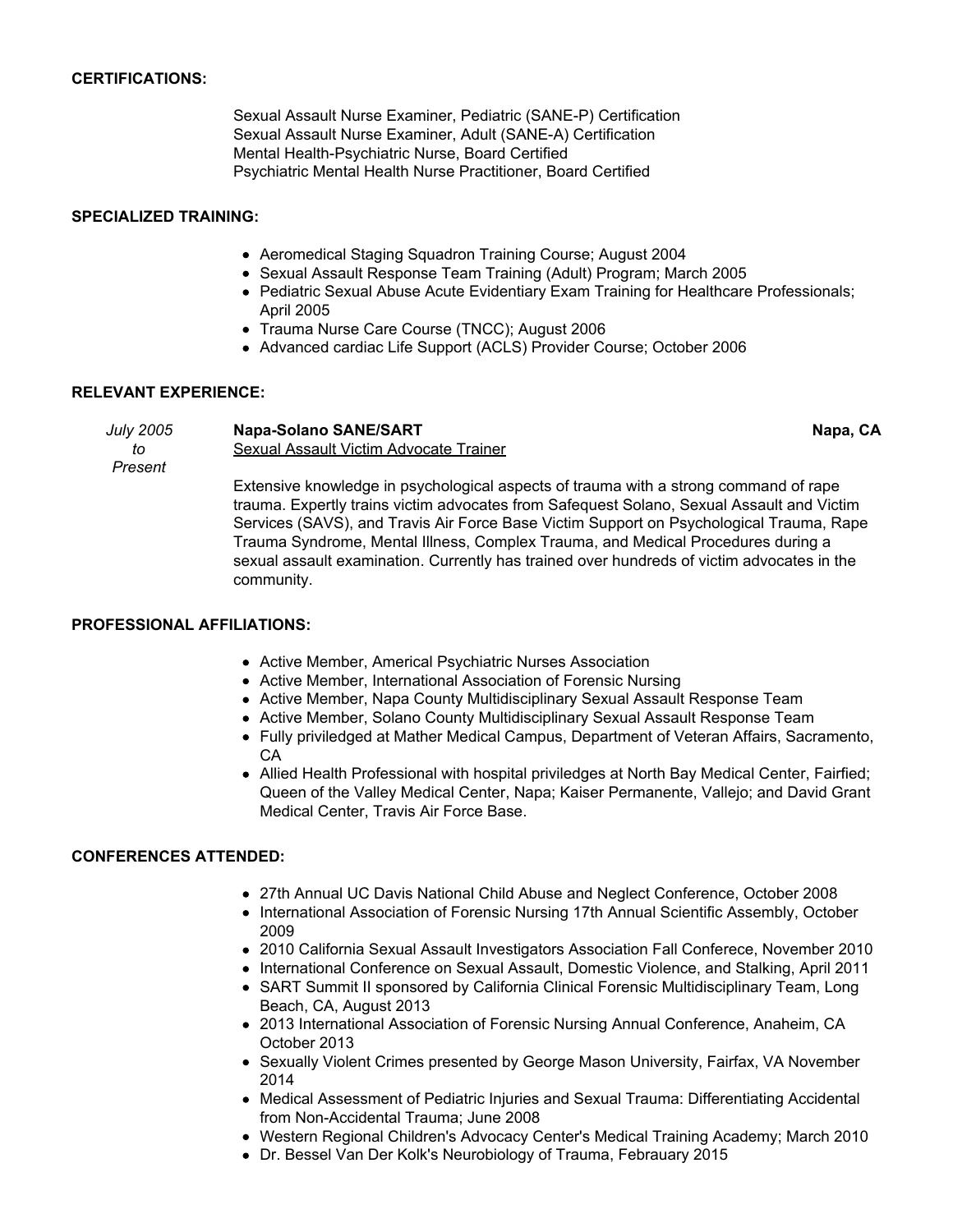## **CERTIFICATIONS:**

Sexual Assault Nurse Examiner, Pediatric (SANE-P) Certification Sexual Assault Nurse Examiner, Adult (SANE-A) Certification Mental Health-Psychiatric Nurse, Board Certified Psychiatric Mental Health Nurse Practitioner, Board Certified

#### **SPECIALIZED TRAINING:**

- Aeromedical Staging Squadron Training Course; August 2004
- Sexual Assault Response Team Training (Adult) Program; March 2005
- Pediatric Sexual Abuse Acute Evidentiary Exam Training for Healthcare Professionals; April 2005
- Trauma Nurse Care Course (TNCC); August 2006
- Advanced cardiac Life Support (ACLS) Provider Course; October 2006

#### **RELEVANT EXPERIENCE:**

*July 2005 to Present* **Napa-Solano SANE/SART Napa, CA** Sexual Assault Victim Advocate Trainer Extensive knowledge in psychological aspects of trauma with a strong command of rape trauma. Expertly trains victim advocates from Safequest Solano, Sexual Assault and Victim Services (SAVS), and Travis Air Force Base Victim Support on Psychological Trauma, Rape Trauma Syndrome, Mental Illness, Complex Trauma, and Medical Procedures during a

#### **PROFESSIONAL AFFILIATIONS:**

community.

- Active Member, Americal Psychiatric Nurses Association
- Active Member, International Association of Forensic Nursing
- Active Member, Napa County Multidisciplinary Sexual Assault Response Team
- Active Member, Solano County Multidisciplinary Sexual Assault Response Team

sexual assault examination. Currently has trained over hundreds of victim advocates in the

- Fully priviledged at Mather Medical Campus, Department of Veteran Affairs, Sacramento, CA
- Allied Health Professional with hospital priviledges at North Bay Medical Center, Fairfied; Queen of the Valley Medical Center, Napa; Kaiser Permanente, Vallejo; and David Grant Medical Center, Travis Air Force Base.

## **CONFERENCES ATTENDED:**

- 27th Annual UC Davis National Child Abuse and Neglect Conference, October 2008
- International Association of Forensic Nursing 17th Annual Scientific Assembly, October 2009
- 2010 California Sexual Assault Investigators Association Fall Conferece, November 2010
- International Conference on Sexual Assault, Domestic Violence, and Stalking, April 2011
- SART Summit II sponsored by California Clinical Forensic Multidisciplinary Team, Long Beach, CA, August 2013
- 2013 International Association of Forensic Nursing Annual Conference, Anaheim, CA October 2013
- Sexually Violent Crimes presented by George Mason University, Fairfax, VA November 2014
- Medical Assessment of Pediatric Injuries and Sexual Trauma: Differentiating Accidental from Non-Accidental Trauma; June 2008
- Western Regional Children's Advocacy Center's Medical Training Academy; March 2010
- Dr. Bessel Van Der Kolk's Neurobiology of Trauma, Febrauary 2015